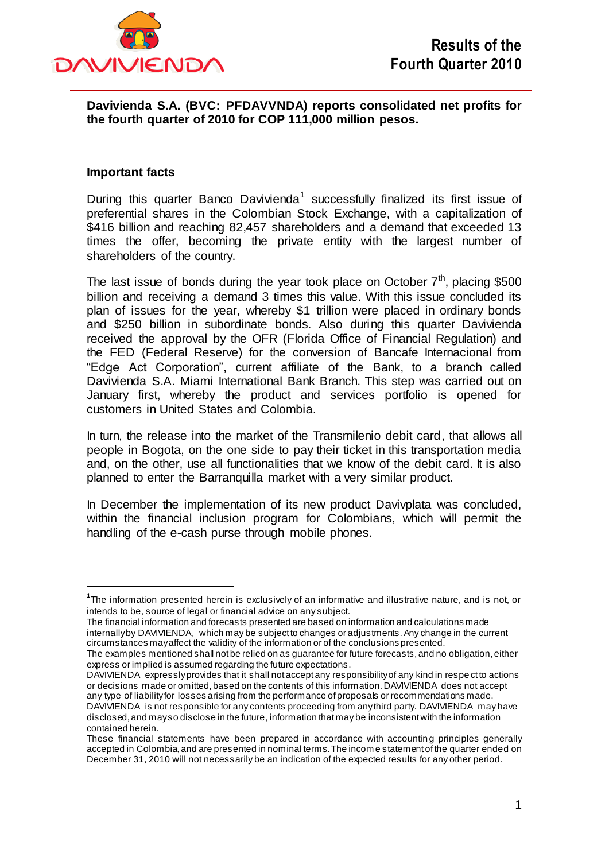

**Davivienda S.A. (BVC: PFDAVVNDA) reports consolidated net profits for the fourth quarter of 2010 for COP 111,000 million pesos.**

### **Important facts**

 $\overline{a}$ 

During this quarter Banco Davivienda<sup>1</sup> successfully finalized its first issue of preferential shares in the Colombian Stock Exchange, with a capitalization of \$416 billion and reaching 82,457 shareholders and a demand that exceeded 13 times the offer, becoming the private entity with the largest number of shareholders of the country.

The last issue of bonds during the year took place on October  $7<sup>th</sup>$ , placing \$500 billion and receiving a demand 3 times this value. With this issue concluded its plan of issues for the year, whereby \$1 trillion were placed in ordinary bonds and \$250 billion in subordinate bonds. Also during this quarter Davivienda received the approval by the OFR (Florida Office of Financial Regulation) and the FED (Federal Reserve) for the conversion of Bancafe Internacional from "Edge Act Corporation", current affiliate of the Bank, to a branch called Davivienda S.A. Miami International Bank Branch. This step was carried out on January first, whereby the product and services portfolio is opened for customers in United States and Colombia.

In turn, the release into the market of the Transmilenio debit card, that allows all people in Bogota, on the one side to pay their ticket in this transportation media and, on the other, use all functionalities that we know of the debit card. It is also planned to enter the Barranquilla market with a very similar product.

In December the implementation of its new product Davivplata was concluded, within the financial inclusion program for Colombians, which will permit the handling of the e-cash purse through mobile phones.

The financial information and forecasts presented are based on information and calculations made internally by DAVIVIENDA, which may be subject to changes or adjustments. Any change in the current circumstances may affect the validity of the information or of the conclusions presented.

**<sup>1</sup>** The information presented herein is exclusively of an informative and illustrative nature, and is not, or intends to be, source of legal or financial advice on any subject.

The examples mentioned shall not be relied on as guarantee for future forecasts, and no obligation, either express or implied is assumed regarding the future expectations.

DAVIVIENDA expressly provides that it shall not accept any responsibility of any kind in respe ct to actions or decisions made or omitted, based on the contents of this information. DAVIVIENDA does not accept any type of liability for losses arising from the performance of proposals or recommendations made. DAVIVIENDA is not responsible for any contents proceeding from any third party. DAVIVIENDA may have disclosed, and may so disclose in the future, information that may be inconsistent with the information contained herein.

These financial statements have been prepared in accordance with accountin g principles generally accepted in Colombia, and are presented in nominal terms. The incom e statement of the quarter ended on December 31, 2010 will not necessarily be an indication of the expected results for any other period.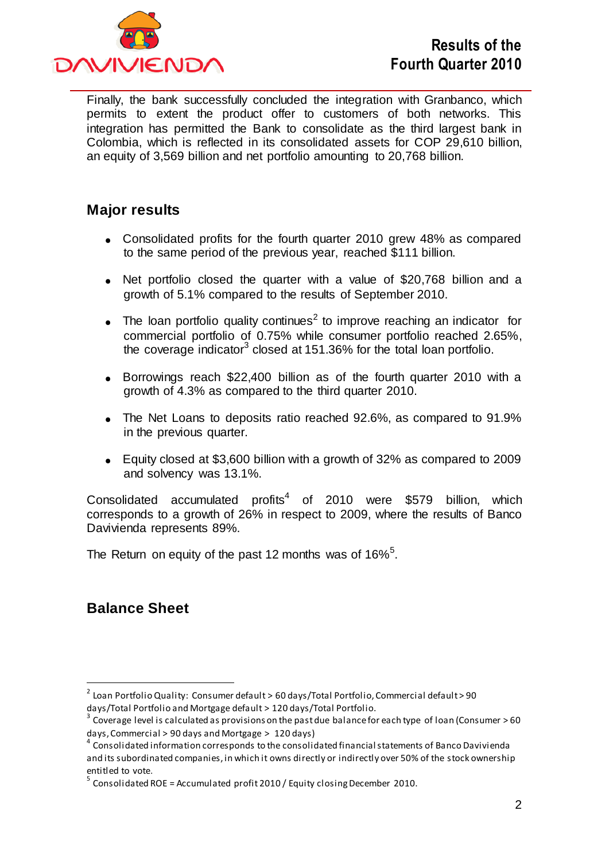

Finally, the bank successfully concluded the integration with Granbanco, which permits to extent the product offer to customers of both networks. This integration has permitted the Bank to consolidate as the third largest bank in Colombia, which is reflected in its consolidated assets for COP 29,610 billion, an equity of 3,569 billion and net portfolio amounting to 20,768 billion.

## **Major results**

- Consolidated profits for the fourth quarter 2010 grew 48% as compared to the same period of the previous year, reached \$111 billion.
- Net portfolio closed the quarter with a value of \$20,768 billion and a growth of 5.1% compared to the results of September 2010.
- The loan portfolio quality continues<sup>2</sup> to improve reaching an indicator for commercial portfolio of 0.75% while consumer portfolio reached 2.65%, the coverage indicator<sup>3</sup> closed at 151.36% for the total loan portfolio.
- Borrowings reach \$22,400 billion as of the fourth quarter 2010 with a growth of 4.3% as compared to the third quarter 2010.
- The Net Loans to deposits ratio reached 92.6%, as compared to 91.9% in the previous quarter.
- Equity closed at \$3,600 billion with a growth of 32% as compared to 2009 and solvency was 13.1%.

Consolidated accumulated profits<sup>4</sup> of 2010 were \$579 billion, which corresponds to a growth of 26% in respect to 2009, where the results of Banco Davivienda represents 89%.

The Return on equity of the past 12 months was of 16% $5$ .

# **Balance Sheet**

 $\overline{a}$ 

 $^{\text{2}}$  Loan Portfolio Quality: Consumer default > 60 days/Total Portfolio, Commercial default > 90 days/Total Portfolio and Mortgage default > 120 days/Total Portfolio.

 $^3$  Coverage level is calculated as provisions on the past due balance for each type of loan (Consumer > 60 days, Commercial > 90 days and Mortgage > 120 days)

 $^4$  Consolidated information corresponds to the consolidated financial statements of Banco Davivienda and its subordinated companies, in which it owns directly or indirectly over 50% of the stock ownership entitled to vote.

 $^5$  Consolidated ROE = Accumulated profit 2010 / Equity closing December 2010.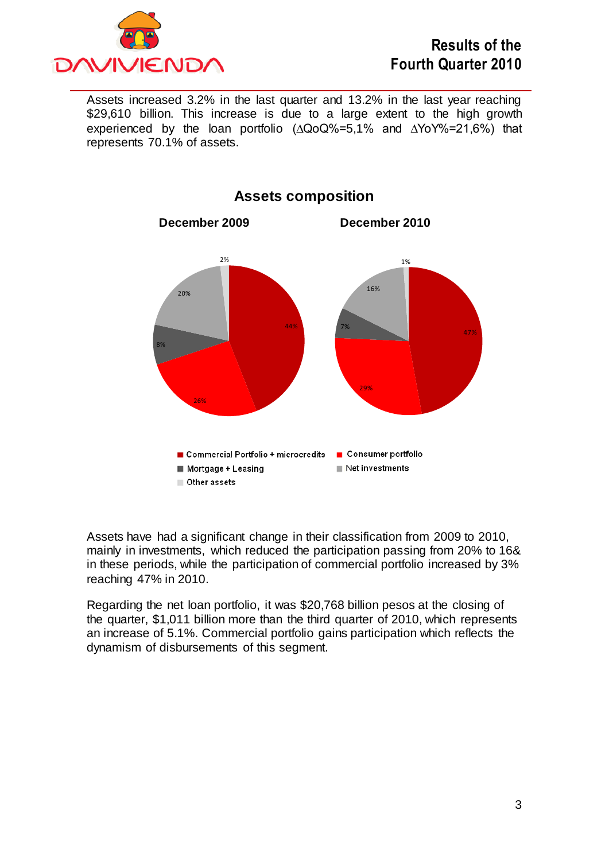

Assets increased 3.2% in the last quarter and 13.2% in the last year reaching \$29,610 billion. This increase is due to a large extent to the high growth experienced by the loan portfolio (∆QoQ%=5,1% and ∆YoY%=21,6%) that represents 70.1% of assets.



**Assets composition**

Assets have had a significant change in their classification from 2009 to 2010, mainly in investments, which reduced the participation passing from 20% to 16& in these periods, while the participation of commercial portfolio increased by 3% reaching 47% in 2010.

Regarding the net loan portfolio, it was \$20,768 billion pesos at the closing of the quarter, \$1,011 billion more than the third quarter of 2010, which represents an increase of 5.1%. Commercial portfolio gains participation which reflects the dynamism of disbursements of this segment.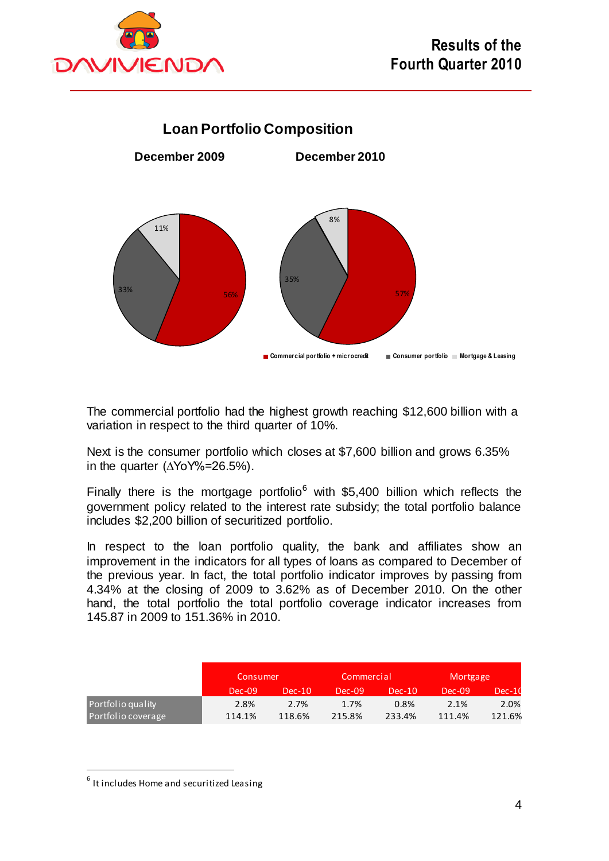



The commercial portfolio had the highest growth reaching \$12,600 billion with a variation in respect to the third quarter of 10%.

Next is the consumer portfolio which closes at \$7,600 billion and grows 6.35% in the quarter (∆YoY%=26.5%).

Finally there is the mortgage portfolio<sup>6</sup> with \$5,400 billion which reflects the government policy related to the interest rate subsidy; the total portfolio balance includes \$2,200 billion of securitized portfolio.

In respect to the loan portfolio quality, the bank and affiliates show an improvement in the indicators for all types of loans as compared to December of the previous year. In fact, the total portfolio indicator improves by passing from 4.34% at the closing of 2009 to 3.62% as of December 2010. On the other hand, the total portfolio the total portfolio coverage indicator increases from 145.87 in 2009 to 151.36% in 2010.

|                    | Consumer |          | Commercial |          | Mortgage |        |
|--------------------|----------|----------|------------|----------|----------|--------|
|                    | $Dec-09$ | $Dec-10$ | $Dec-09$   | $Dec-10$ | $Dec-09$ | Dec-10 |
| Portfolio quality  | 2.8%     | 2.7%     | 1.7%       | 0.8%     | 2.1%     | 2.0%   |
| Portfolio coverage | 114.1%   | 118.6%   | 215.8%     | 233.4%   | 111.4%   | 121.6% |

 $\overline{a}$ 

 $^6$  It includes Home and securitized Leasing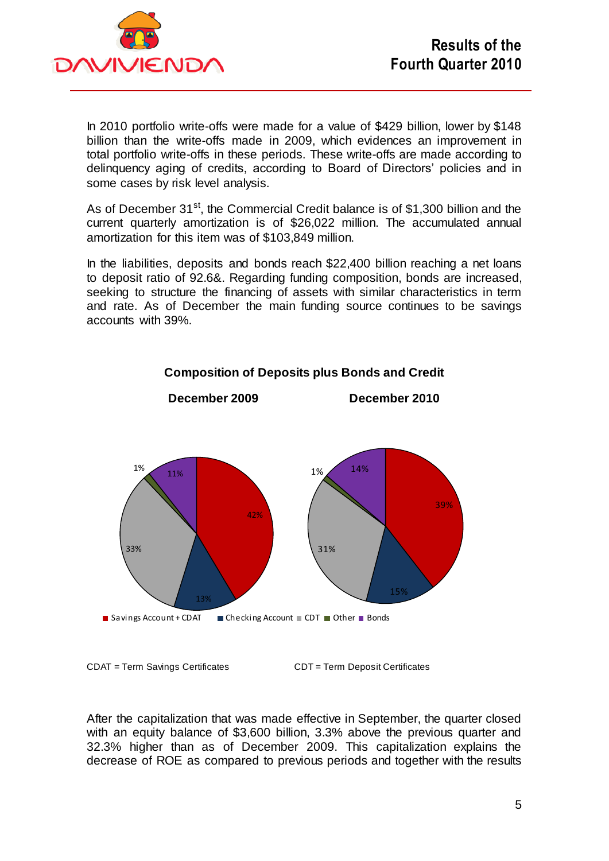

In 2010 portfolio write-offs were made for a value of \$429 billion, lower by \$148 billion than the write-offs made in 2009, which evidences an improvement in total portfolio write-offs in these periods. These write-offs are made according to delinquency aging of credits, according to Board of Directors' policies and in some cases by risk level analysis.

As of December  $31^{st}$ , the Commercial Credit balance is of \$1,300 billion and the current quarterly amortization is of \$26,022 million. The accumulated annual amortization for this item was of \$103,849 million.

In the liabilities, deposits and bonds reach \$22,400 billion reaching a net loans to deposit ratio of 92.6&. Regarding funding composition, bonds are increased, seeking to structure the financing of assets with similar characteristics in term and rate. As of December the main funding source continues to be savings accounts with 39%.



## **Composition of Deposits plus Bonds and Credit**

CDAT = Term Savings Certificates CDT = Term Deposit Certificates

After the capitalization that was made effective in September, the quarter closed with an equity balance of \$3,600 billion, 3.3% above the previous quarter and 32.3% higher than as of December 2009. This capitalization explains the decrease of ROE as compared to previous periods and together with the results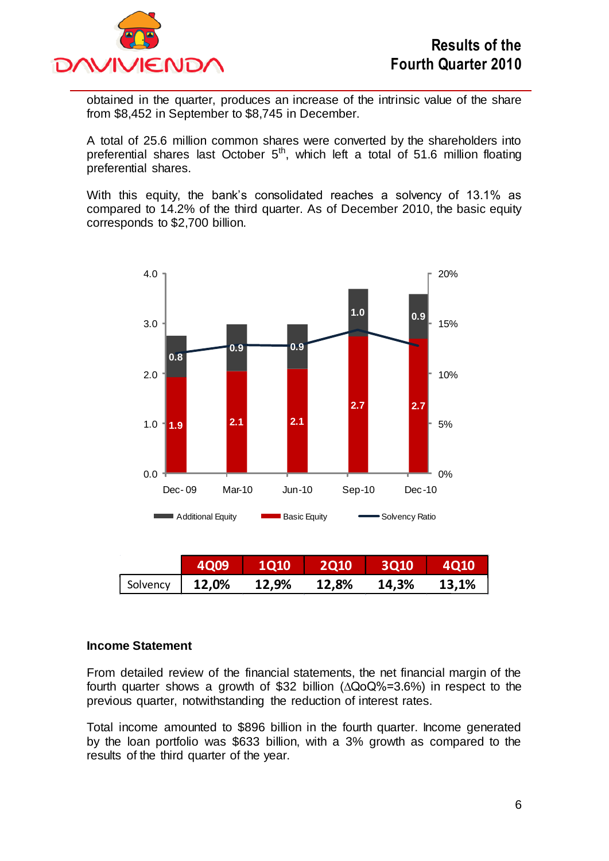

obtained in the quarter, produces an increase of the intrinsic value of the share from \$8,452 in September to \$8,745 in December.

A total of 25.6 million common shares were converted by the shareholders into preferential shares last October  $5<sup>th</sup>$ , which left a total of 51.6 million floating preferential shares.

With this equity, the bank's consolidated reaches a solvency of 13.1% as compared to 14.2% of the third quarter. As of December 2010, the basic equity corresponds to \$2,700 billion.



#### **Income Statement**

From detailed review of the financial statements, the net financial margin of the fourth quarter shows a growth of \$32 billion (∆QoQ%=3.6%) in respect to the previous quarter, notwithstanding the reduction of interest rates.

Total income amounted to \$896 billion in the fourth quarter. Income generated by the loan portfolio was \$633 billion, with a 3% growth as compared to the results of the third quarter of the year.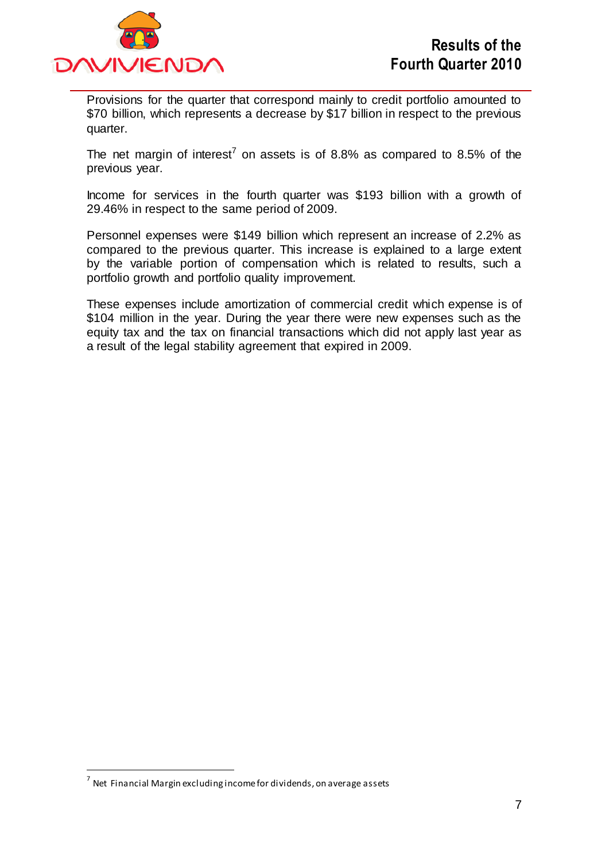

Provisions for the quarter that correspond mainly to credit portfolio amounted to \$70 billion, which represents a decrease by \$17 billion in respect to the previous quarter.

The net margin of interest<sup>7</sup> on assets is of 8.8% as compared to 8.5% of the previous year.

Income for services in the fourth quarter was \$193 billion with a growth of 29.46% in respect to the same period of 2009.

Personnel expenses were \$149 billion which represent an increase of 2.2% as compared to the previous quarter. This increase is explained to a large extent by the variable portion of compensation which is related to results, such a portfolio growth and portfolio quality improvement.

These expenses include amortization of commercial credit which expense is of \$104 million in the year. During the year there were new expenses such as the equity tax and the tax on financial transactions which did not apply last year as a result of the legal stability agreement that expired in 2009.

 $\overline{a}$ 

 $^7$  Net Financial Margin excluding income for dividends, on average assets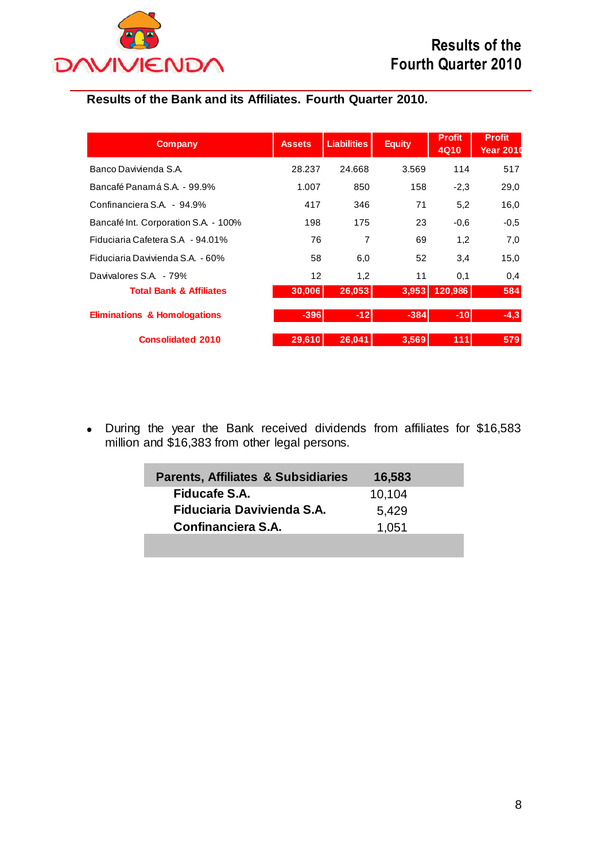

## **Results of the Bank and its Affiliates. Fourth Quarter 2010.**

| <b>Company</b>                          | <b>Assets</b>     | <b>Liabilities</b> | <b>Equity</b> | <b>Profit</b><br>4Q10 | <b>Profit</b><br><b>Year 2010</b> |
|-----------------------------------------|-------------------|--------------------|---------------|-----------------------|-----------------------------------|
| Banco Davivienda S.A.                   | 28.237            | 24.668             | 3.569         | 114                   | 517                               |
| Bancafé Panamá S.A. - 99.9%             | 1.007             | 850                | 158           | $-2,3$                | 29,0                              |
| Confinanciera S.A. - 94.9%              | 417               | 346                | 71            | 5,2                   | 16,0                              |
| Bancafé Int. Corporation S.A. - 100%    | 198               | 175                | 23            | $-0.6$                | $-0.5$                            |
| Fiduciaria Cafetera S.A - 94.01%        | 76                | 7                  | 69            | 1,2                   | 7,0                               |
| Fiduciaria Davivienda S.A. - 60%        | 58                | 6,0                | 52            | 3,4                   | 15,0                              |
| Davivalores S.A. - 79%                  | $12 \overline{ }$ | 1,2                | 11            | 0,1                   | 0,4                               |
| <b>Total Bank &amp; Affiliates</b>      | 30,006            | 26,053             | 3,953         | 120,986               | 584                               |
| <b>Eliminations &amp; Homologations</b> | $-396$            | $-12$              | $-384$        | $-10$                 | $-4,3$                            |
| <b>Consolidated 2010</b>                | 29,610            | 26.041             | 3.569         | 111                   | 579                               |

During the year the Bank received dividends from affiliates for \$16,583 million and \$16,383 from other legal persons.

| <b>Parents, Affiliates &amp; Subsidiaries</b> | 16,583 |  |
|-----------------------------------------------|--------|--|
| Fiducafe S.A.                                 | 10,104 |  |
| Fiduciaria Davivienda S.A.                    | 5,429  |  |
| Confinanciera S.A.                            | 1.051  |  |
|                                               |        |  |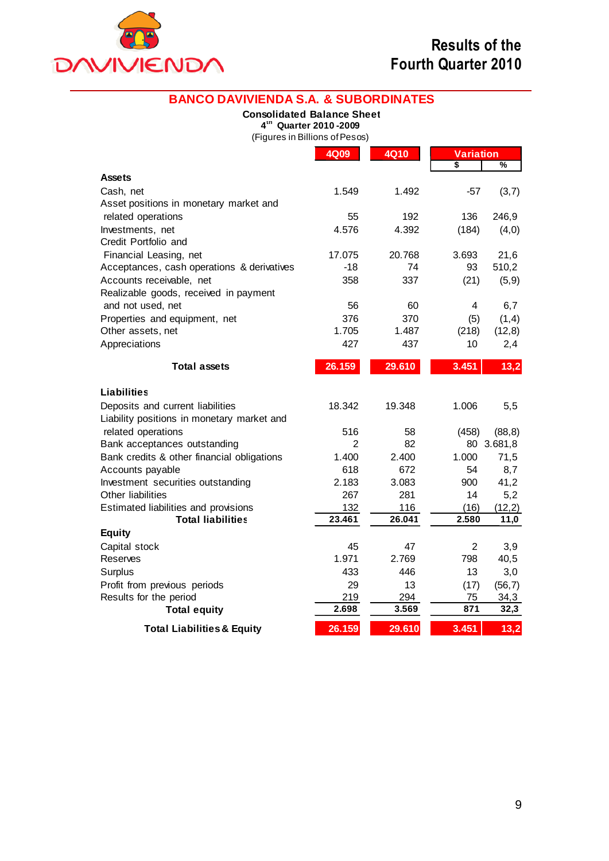

**Equity**

| <b>BANCO DAVIVIENDA S.A. &amp; SUBORDINATES</b> |                                                         |             |                  |            |
|-------------------------------------------------|---------------------------------------------------------|-------------|------------------|------------|
|                                                 | <b>Consolidated Balance Sheet</b>                       |             |                  |            |
|                                                 | 4th Quarter 2010-2009<br>(Figures in Billions of Pesos) |             |                  |            |
|                                                 | <b>4Q09</b>                                             | <b>4Q10</b> | <b>Variation</b> |            |
|                                                 |                                                         |             | \$               | %          |
| <b>Assets</b>                                   |                                                         |             |                  |            |
| Cash, net                                       | 1.549                                                   | 1.492       | $-57$            | (3,7)      |
| Asset positions in monetary market and          |                                                         |             |                  |            |
| related operations                              | 55                                                      | 192         | 136              | 246,9      |
| Investments, net                                | 4.576                                                   | 4.392       | (184)            | (4,0)      |
| Credit Portfolio and                            |                                                         |             |                  |            |
| Financial Leasing, net                          | 17.075                                                  | 20.768      | 3.693            | 21,6       |
| Acceptances, cash operations & derivatives      | $-18$                                                   | 74          | 93               | 510,2      |
| Accounts receivable, net                        | 358                                                     | 337         | (21)             | (5, 9)     |
| Realizable goods, received in payment           |                                                         |             |                  |            |
| and not used, net                               | 56                                                      | 60          | 4                | 6,7        |
| Properties and equipment, net                   | 376                                                     | 370         | (5)              | (1,4)      |
| Other assets, net                               | 1.705                                                   | 1.487       | (218)            | (12,8)     |
| Appreciations                                   | 427                                                     | 437         | 10               | 2,4        |
| <b>Total assets</b>                             | 26.159                                                  | 29.610      | 3.451            | 13,2       |
| <b>Liabilities</b>                              |                                                         |             |                  |            |
| Deposits and current liabilities                | 18.342                                                  | 19.348      | 1.006            | 5,5        |
| Liability positions in monetary market and      |                                                         |             |                  |            |
| related operations                              | 516                                                     | 58          | (458)            | (88, 8)    |
| Bank acceptances outstanding                    | $\overline{2}$                                          | 82          |                  | 80 3.681,8 |
| Bank credits & other financial obligations      | 1.400                                                   | 2.400       | 1.000            | 71,5       |
| Accounts payable                                | 618                                                     | 672         | 54               | 8,7        |
| Investment securities outstanding               | 2.183                                                   | 3.083       | 900              | 41,2       |

Other liabilities 267 281 14 5,2 Estimated liabilities and provisions 132 116 (16) (12,2)

Capital stock **45** 47 2 3,9 Reserves 1.971 2.769 798 40,5 Surplus 433 446 13 3,0 Profit from previous periods 29 13 (17) (56,7) Results for the period<br> **Total equity**<br> **Calculary**<br> **Calculary**<br> **Calculary**<br> **Calculary**<br> **Calculary**<br> **Calculary**<br> **Calculary**<br> **Calculary**<br> **Calculary**<br> **Calculary**<br> **Calculary**<br> **Calculary**<br> **Calculary**<br> **Calculary**<br>

**12.698 32.698** 

**Total liabilities 23.461 26.041 2.580 11,0**

**Total Liabilities & Equity 26.159 29.610 3.451 13,2**